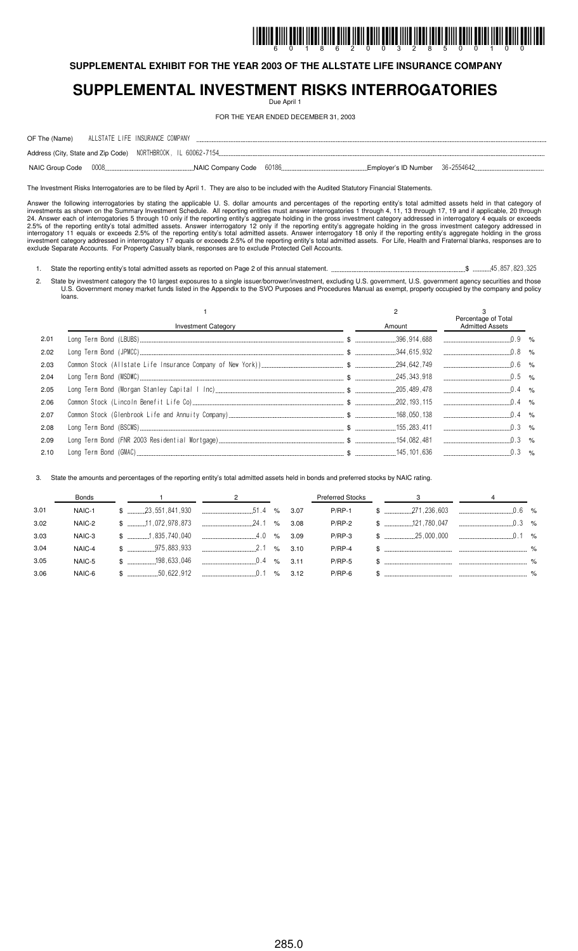# I IDDIID BIIII BAIDI İIDDI İBIID BIIID ÎNII ÎDIII ÊDIIL ÎNID ÎIDDI ÎDIDI ÎNIII ÊDIII ÎDIII ÎDIII ÊDIII ÎDII IDD

**SUPPLEMENTAL EXHIBIT FOR THE YEAR 2003 OF THE ALLSTATE LIFE INSURANCE COMPANY**

## **SUPPLEMENTAL INVESTMENT RISKS INTERROGATORIES**

Due April 1

FOR THE YEAR ENDED DECEMBER 31, 2003

| OF The (Name) ALLSTATE LIFE INSURANCE COMPANY                |  |          |       |  |   |              |  |
|--------------------------------------------------------------|--|----------|-------|--|---|--------------|--|
| Address (City, State and Zip Code) NORTHBROOK, IL 60062-7154 |  |          |       |  |   |              |  |
| $\sim$ 0.000 $\sim$ 0.000 $\sim$ 0.000 $\sim$                |  | $\cdots$ | corpo |  | . | LOC OFF 1010 |  |

NAIC Group Code NAIC Company Code Employer's ID Number

The Investment Risks Interrogatories are to be filed by April 1. They are also to be included with the Audited Statutory Financial Statements.

Answer the following interrogatories by stating the applicable U. S. dollar amounts and percentages of the reporting entity's total admitted assets held in that category of investments as shown on the Summary Investment Schedule. All reporting entities must answer interrogatories 1 through 4, 11, 13 through 17, 19 and if applicable, 20 through 24. Answer each of interrogatories 5 through 10 only if the reporting entity's aggregate holding in the gross investment category addressed in interrogatory 4 equals or exceeds 2.5% of the reporting entity's total admitted assets. Answer interrogatory 12 only if the reporting entity's aggregate holding in the gross investment category addressed in interrogatory 11 equals or exceeds 2.5% of the reporting entity's total admitted assets. Answer interrogatory 18 only if the reporting entity's aggregate holding in the gross investment category addressed in interrogatory 17 equals or exceeds 2.5% of the reporting entity's total admitted assets. For Life, Health and Fraternal blanks, responses are to exclude Separate Accounts. For Property Casualty blank, responses are to exclude Protected Cell Accounts.

1. State the reporting entity's total admitted assets as reported on Page 2 of this annual statement. \$

2. State by investment category the 10 largest exposures to a single issuer/borrower/investment, excluding U.S. government, U.S. government agency securities and those U.S. Government money market funds listed in the Appendix to the SVO Purposes and Procedures Manual as exempt, property occupied by the company and policy loans.

|      |                            |        | Percentage of Total    |  |
|------|----------------------------|--------|------------------------|--|
|      | <b>Investment Category</b> | Amount | <b>Admitted Assets</b> |  |
| 2.01 |                            |        |                        |  |
| 2.02 |                            |        | $\ldots$ 0.8 %         |  |
| 2.03 |                            |        |                        |  |
| 2.04 |                            |        |                        |  |
| 2.05 |                            |        |                        |  |
| 2.06 |                            |        |                        |  |
| 2.07 |                            |        |                        |  |
| 2.08 |                            |        |                        |  |
| 2.09 |                            |        |                        |  |
| 2.10 |                            |        |                        |  |

3. State the amounts and percentages of the reporting entity's total admitted assets held in bonds and preferred stocks by NAIC rating.

|      | Bonds  |  | $2 \left( \frac{1}{2} \right)$                                                                                                                                                                                                                                                                                      |      | Preferred Stocks | $\overline{\mathbf{3}}$            |  |
|------|--------|--|---------------------------------------------------------------------------------------------------------------------------------------------------------------------------------------------------------------------------------------------------------------------------------------------------------------------|------|------------------|------------------------------------|--|
| 3.01 | NAIC-1 |  | $\frac{1}{2}$ $\frac{1}{2}$ $\frac{1}{2}$ $\frac{1}{2}$ $\frac{1}{2}$ $\frac{1}{2}$ $\frac{1}{2}$ $\frac{1}{2}$ $\frac{1}{2}$ $\frac{1}{2}$ $\frac{1}{2}$ $\frac{1}{2}$ $\frac{1}{2}$ $\frac{1}{2}$ $\frac{1}{2}$ $\frac{1}{2}$ $\frac{1}{2}$ $\frac{1}{2}$ $\frac{1}{2}$ $\frac{1}{2}$ $\frac{1}{2}$ $\frac{1}{2}$ |      | $P/RP-1$         | $$$ $371,236,603$ $300$ $0.6$ $\%$ |  |
| 3.02 | NAIC-2 |  |                                                                                                                                                                                                                                                                                                                     | 3.08 | $P/RP-2$         |                                    |  |
| 3.03 | NAIC-3 |  | $\frac{1}{2}$ $\frac{1}{2}$ $\frac{1}{2}$ $\frac{1}{2}$ $\frac{1}{2}$ $\frac{1}{2}$ $\frac{1}{2}$ $\frac{1}{2}$ $\frac{1}{2}$ $\frac{1}{2}$ $\frac{1}{2}$ $\frac{1}{2}$ $\frac{1}{2}$ $\frac{1}{2}$ $\frac{1}{2}$ $\frac{1}{2}$ $\frac{1}{2}$ $\frac{1}{2}$ $\frac{1}{2}$ $\frac{1}{2}$ $\frac{1}{2}$ $\frac{1}{2}$ | 3.09 | $P/RP-3$         |                                    |  |
| 3.04 | NAIC-4 |  | $\frac{1}{2}$ $\frac{1}{2}$ $\frac{1}{2}$ $\frac{1}{2}$ $\frac{1}{2}$ $\frac{1}{2}$ $\frac{1}{2}$ $\frac{1}{2}$ $\frac{1}{2}$ $\frac{1}{2}$ $\frac{1}{2}$ $\frac{1}{2}$ $\frac{1}{2}$ $\frac{1}{2}$ $\frac{1}{2}$ $\frac{1}{2}$ $\frac{1}{2}$ $\frac{1}{2}$ $\frac{1}{2}$ $\frac{1}{2}$ $\frac{1}{2}$ $\frac{1}{2}$ |      | $P/RP-4$         |                                    |  |
| 3.05 | NAIC-5 |  | $$$ $3.11$                                                                                                                                                                                                                                                                                                          |      | <b>P/RP-5</b>    |                                    |  |
| 3.06 | NAIC-6 |  |                                                                                                                                                                                                                                                                                                                     | 3.12 | $P/RP-6$         |                                    |  |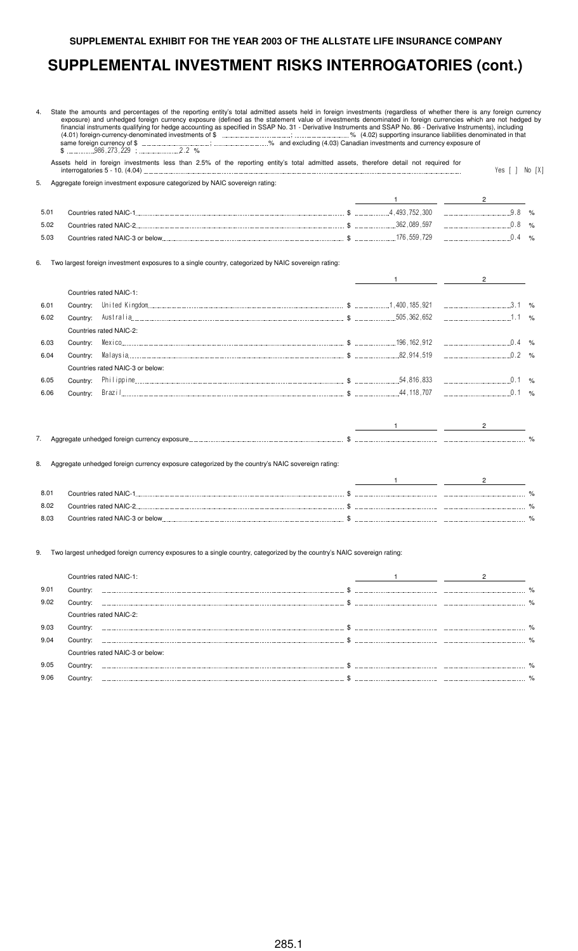#### **SUPPLEMENTAL EXHIBIT FOR THE YEAR 2003 OF THE ALLSTATE LIFE INSURANCE COMPANY**

#### **SUPPLEMENTAL INVESTMENT RISKS INTERROGATORIES (cont.)**

4. State the amounts and percentages of the reporting entity's total admitted assets held in foreign investments (regardless of whether there is any foreign currency exposure) and unhedged foreign currency exposure (defined as the statement value of investments denominated in foreign currencies which are not hedged by financial instruments qualifying for hedge accounting as specified in SSAP No. 31 - Derivative Instruments and SSAP No. 86 - Derivative Instruments), including (4.01) foreign-currency-denominated investments of \$  $\ldots$  ;  $\ldots$  ;  $\ldots$  ;  $\ldots$  ;  $\ldots$  ;  $\ldots$  ;  $\ldots$  % (4.02) supporting insurance liabilities denominated in that same foreign currency of \$ ; % and excluding (4.03) Canadian investments and currency exposure of  $(4.01)$  foreign-currency-denominated investments of  $\frac{1}{2}$ <br>same foreign currency-denominated investments of  $\frac{1}{2}$ <br> $\frac{1}{2}$ <br> $\frac{1}{2}$ <br> $\frac{1}{2}$ <br> $\frac{1}{2}$ <br> $\frac{1}{2}$ <br> $\frac{1}{2}$ <br> $\frac{1}{2}$ <br> $\frac{1}{2}$ <br> $\frac{1}{2}$ <br> $\frac{1}{2}$ 

Assets held in foreign investments less than 2.5% of the reporting entity's total admitted assets, therefore detail not required for interrogatories 5 - 10. (4.04) "/ ; < ;=<

5. Aggregate foreign investment exposure categorized by NAIC sovereign rating:

| $5.0^+$ | Countries rated NAIC-1          | 4.493.752.300     | %             |
|---------|---------------------------------|-------------------|---------------|
| 5.02    | Countries rated NAIC-2          | .362.089.597      | $\%$          |
| 5.03    | Countries rated NAIC-3 or below | . 176 . 559 . 729 | $\frac{1}{2}$ |

Two largest foreign investment exposures to a single country, categorized by NAIC sovereign rating:

|      |          | Countries rated NAIC-1:          |  |      |
|------|----------|----------------------------------|--|------|
| 6.01 | Country: |                                  |  | %    |
| 6.02 | Country: |                                  |  | $\%$ |
|      |          | Countries rated NAIC-2:          |  |      |
| 6.03 | Country: |                                  |  | %    |
| 6.04 | Country: |                                  |  |      |
|      |          | Countries rated NAIC-3 or below: |  |      |
| 6.05 | Country: |                                  |  | %    |
| 6.06 | Countrv: |                                  |  | $\%$ |
|      |          |                                  |  |      |

| . . | .<br>and the state of the con-<br><b>STATISTICS</b> | <br>. |  |
|-----|-----------------------------------------------------|-------|--|

8. Aggregate unhedged foreign currency exposure categorized by the country's NAIC sovereign rating:

| 8.01 | <b>Countries rated NAIC-1</b>    |  | $\frac{1}{2}$ |
|------|----------------------------------|--|---------------|
| 8.02 | Countries rated NAIC-2           |  | $\frac{9}{6}$ |
| 8.03 | Countries rated NAIC-3 or below. |  | $\frac{O}{A}$ |

9. Two largest unhedged foreign currency exposures to a single country, categorized by the country's NAIC sovereign rating:

|      |          | Countries rated NAIC-1:          |  |               |
|------|----------|----------------------------------|--|---------------|
| 9.01 |          |                                  |  | $\%$          |
| 9.02 | ∵o⊔ntrv: |                                  |  | $\frac{1}{2}$ |
|      |          | Countries rated NAIC-2:          |  |               |
| 9.03 | Country: |                                  |  |               |
| 9.04 | Countrv: |                                  |  |               |
|      |          | Countries rated NAIC-3 or below: |  |               |
| 9.05 | Countrv: |                                  |  |               |
| 9.06 | Country  |                                  |  |               |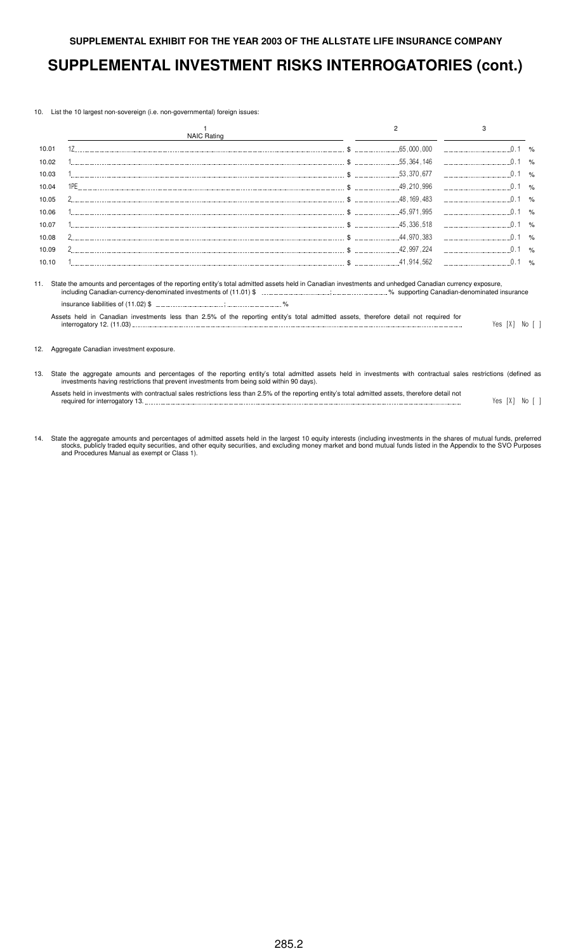10. List the 10 largest non-sovereign (i.e. non-governmental) foreign issues:

|       | <b>NAIC Rating</b>                                                                                                                                                                                                                                                                               |              |  |
|-------|--------------------------------------------------------------------------------------------------------------------------------------------------------------------------------------------------------------------------------------------------------------------------------------------------|--------------|--|
| 10.01 |                                                                                                                                                                                                                                                                                                  | .65,000,000  |  |
| 10.02 |                                                                                                                                                                                                                                                                                                  | . 55.364.146 |  |
| 10.03 |                                                                                                                                                                                                                                                                                                  | .53.370.677  |  |
| 10.04 |                                                                                                                                                                                                                                                                                                  |              |  |
| 10.05 |                                                                                                                                                                                                                                                                                                  |              |  |
| 10.06 |                                                                                                                                                                                                                                                                                                  |              |  |
| 10.07 |                                                                                                                                                                                                                                                                                                  |              |  |
| 10.08 |                                                                                                                                                                                                                                                                                                  |              |  |
| 10.09 |                                                                                                                                                                                                                                                                                                  |              |  |
| 10.10 |                                                                                                                                                                                                                                                                                                  |              |  |
|       | State the amounts and percentages of the reporting entity's total admitted assets held in Canadian investments and unhedged Canadian currency exposure,<br>Assets held in Canadian investments less than 2.5% of the reporting entity's total admitted assets, therefore detail not required for |              |  |

#### 12. Aggregate Canadian investment exposure.

- 13. State the aggregate amounts and percentages of the reporting entity's total admitted assets held in investments with contractual sales restrictions (defined as investments having restrictions that prevent investments from being sold within 90 days).
	- Assets held in investments with contractual sales restrictions less than 2.5% of the reporting entity's total admitted assets, therefore detail not required for interrogatory 13.  $\blacksquare$
- 14. State the aggregate amounts and percentages of admitted assets held in the largest 10 equity interests (including investments in the shares of mutual funds, preferred stocks, publicly traded equity securities, and other equity securities, and excluding money market and bond mutual funds listed in the Appendix to the SVO Purposes and Procedures Manual as exempt or Class 1).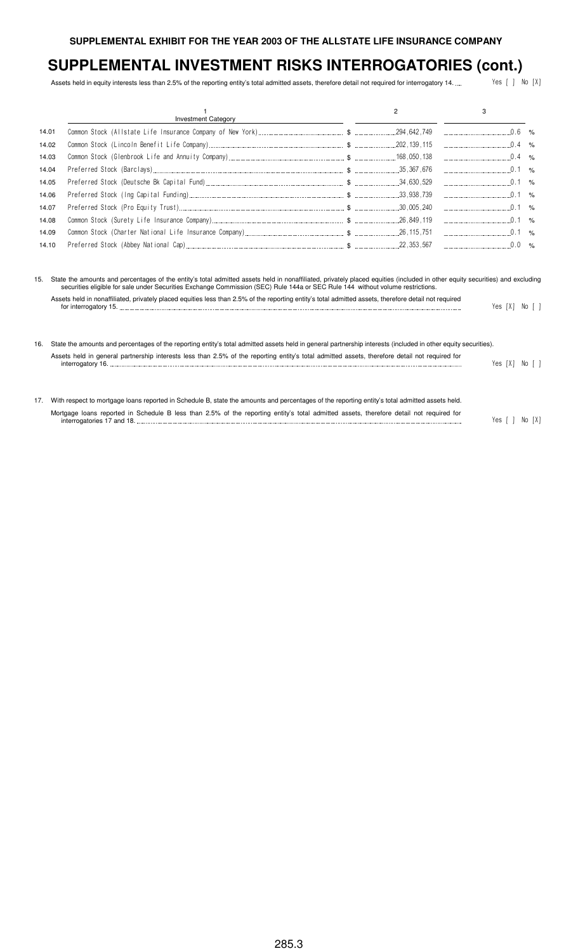Assets held in equity interests less than 2.5% of the reporting entity's total admitted assets, therefore detail not required for interrogatory 14. .... <br>Yes [ ] No [X]

|       | <b>Investment Category</b> |  |  |
|-------|----------------------------|--|--|
| 14.01 |                            |  |  |
| 14.02 |                            |  |  |
| 14.03 |                            |  |  |
| 14.04 |                            |  |  |
| 14.05 |                            |  |  |
| 14.06 |                            |  |  |
| 14.07 |                            |  |  |
| 14.08 |                            |  |  |
| 14.09 |                            |  |  |
| 14.10 |                            |  |  |

15. State the amounts and percentages of the entity's total admitted assets held in nonaffiliated, privately placed equities (included in other equity securities) and excluding securities eligible for sale under Securities Exchange Commission (SEC) Rule 144a or SEC Rule 144 without volume restrictions.

| Assets held in nonaffiliated, privately placed equities less than 2.5% of the reporting entity's total admitted assets, therefore detail not required |                |  |  |
|-------------------------------------------------------------------------------------------------------------------------------------------------------|----------------|--|--|
|                                                                                                                                                       | Yes [X] No [ ] |  |  |
|                                                                                                                                                       |                |  |  |
|                                                                                                                                                       |                |  |  |
|                                                                                                                                                       |                |  |  |

16. State the amounts and percentages of the reporting entity's total admitted assets held in general partnership interests (included in other equity securities). Assets held in general partnership interests less than 2.5% of the reporting entity's total admitted assets, therefore detail not required for interrogatory 16. "/ ;=< ; <

| 17. With respect to mortgage loans reported in Schedule B, state the amounts and percentages of the reporting entity's total admitted assets held. |                |  |
|----------------------------------------------------------------------------------------------------------------------------------------------------|----------------|--|
| Mortgage loans reported in Schedule B less than 2.5% of the reporting entity's total admitted assets, therefore detail not required for            |                |  |
| interrogatories 17 and 18.                                                                                                                         | Yes [ ] No [X] |  |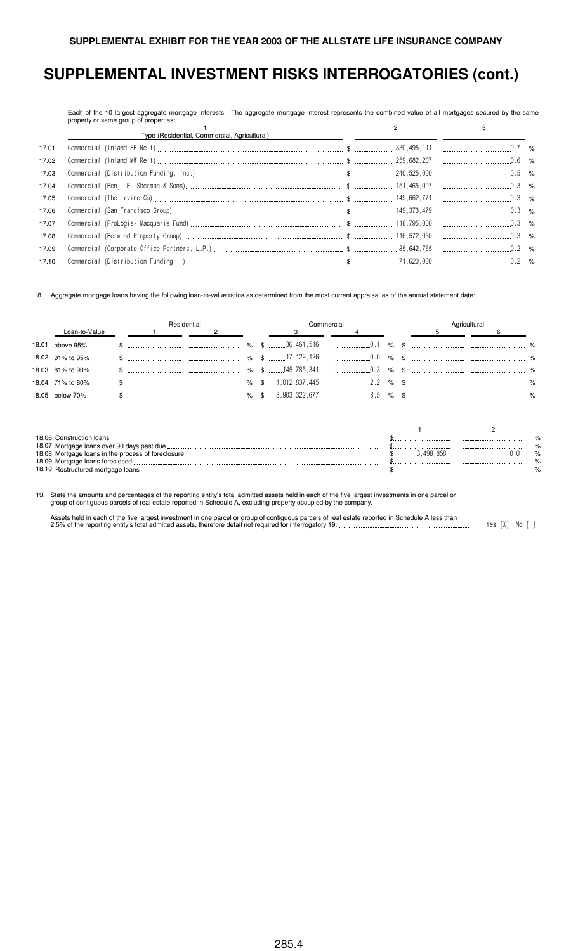Each of the 10 largest aggregate mortgage interests. The aggregate mortgage interest represents the combined value of all mortgages secured by the same property or same group of properties:

|       | Type (Residential, Commercial, Agricultural) |  |  |  |
|-------|----------------------------------------------|--|--|--|
| 17.01 |                                              |  |  |  |
| 17.02 |                                              |  |  |  |
| 17.03 |                                              |  |  |  |
| 17.04 |                                              |  |  |  |
| 17.05 |                                              |  |  |  |
| 17.06 |                                              |  |  |  |
| 17.07 |                                              |  |  |  |
| 17.08 |                                              |  |  |  |
| 17.09 |                                              |  |  |  |
| 17.10 |                                              |  |  |  |

18. Aggregate mortgage loans having the following loan-to-value ratios as determined from the most current appraisal as of the annual statement date:

|                  | Residential                                                |  |  |  | Commercial | Agricultural |  |  |  |
|------------------|------------------------------------------------------------|--|--|--|------------|--------------|--|--|--|
| Loan-to-Value    | $\sim$ 1 and $\sim$ 1 and $\sim$ 1 and $\sim$ 1 and $\sim$ |  |  |  |            |              |  |  |  |
| 18.01 above 95%  |                                                            |  |  |  |            |              |  |  |  |
| 18.02 91% to 95% |                                                            |  |  |  |            |              |  |  |  |
| 18.03 81% to 90% |                                                            |  |  |  |            |              |  |  |  |
| 18.04 71% to 80% |                                                            |  |  |  |            |              |  |  |  |
| 18.05 below 70%  |                                                            |  |  |  |            |              |  |  |  |

| 18.06 Construction loans                           |      |    |
|----------------------------------------------------|------|----|
| 18.07 Mortgage loans over 90 days past due         |      |    |
| 18.08 Mortgage loans in the process of foreclosure |      | %  |
| 18.09 Mortgage loans foreclosed                    |      | 07 |
| 18.10 Restructured mortgage loans                  | <br> |    |

19. State the amounts and percentages of the reporting entity's total admitted assets held in each of the five largest investments in one parcel or group of contiguous parcels of real estate reported in Schedule A, excluding property occupied by the company.

Assets held in each of the five largest investment in one parcel or group of contiguous parcels of real estate reported in Schedule A less than<br>2.5% of the reporting entity's total admitted assets, therefore detail not req

285.4